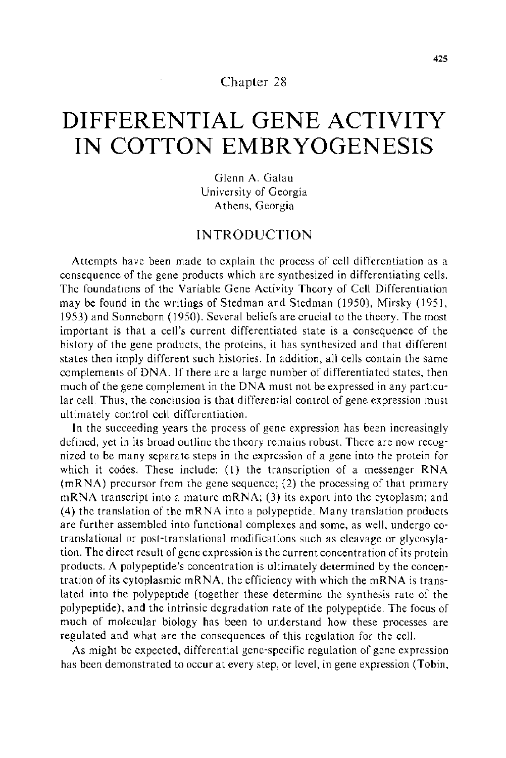#### Chapter 28

# **DIFFERENTIAL GENE ACTIVITY IN COTTON EMBRYOGENESIS**

Glenn A. Galau University of Georgia Athens, Georgia

### INTRODUCTION

Attempts have been made to explain the process of cell differentiation as a consequence of the gene products which are synthesized in differentiating cells. The foundations of the Variable Gene Activity Theory of Cell Differentiation may be found in the writings of Stedman and Stedman (1950), Mirsky (1951, 1953) and Sonneborn (1950). Several beliefs are crucial to the theory. The most important is that a cell's current differentiated state is a consequence of the history of the gene products, the proteins, it has synthesized and that different states then imply different such histories. In addition, all cells contain the same complements of DNA. If there are a large number of differentiated states, then much of the gene complement in the DNA must not be expressed in any particular cell. Thus, the conclusion is that differential control of gene expression must ultimately control cell differentiation.

In the succeeding years the process of gene expression has been increasingly defined, yet in its broad outline the theory remains robust. There are now recognized to be many separate steps in the expression of a gene into the protein for which it codes. These include: (I) the transcription of a messenger RNA (mRNA) precursor from the gene sequence; (2) the processing of that primary mRNA transcript into a mature mRNA; (3) its export into the cytoplasm; and (4) the translation of the mRNA into a polypeptide. Many translation products are further assembled into functional complexes and some, as well, undergo cotranslational or post-translational modifications such as cleavage or glycosylation. The direct result of gene expression is the current concentration of its protein products. A polypeptide's concentration is ultimately determined by the concentration of its cytoplasmic mRNA, the efficiency with which the mRNA is translated into the polypeptide (together these determine the synthesis rate of the polypeptide), and the intrinsic degradation rate of the polypeptide. The focus of much of molecular biology has been to understand how these processes are regulated and what are the consequences of this regulation for the cell.

As might be expected, differential gene-specific regulation of gene expression has been demonstrated to occur at every step, or level, in gene expression (Tobin,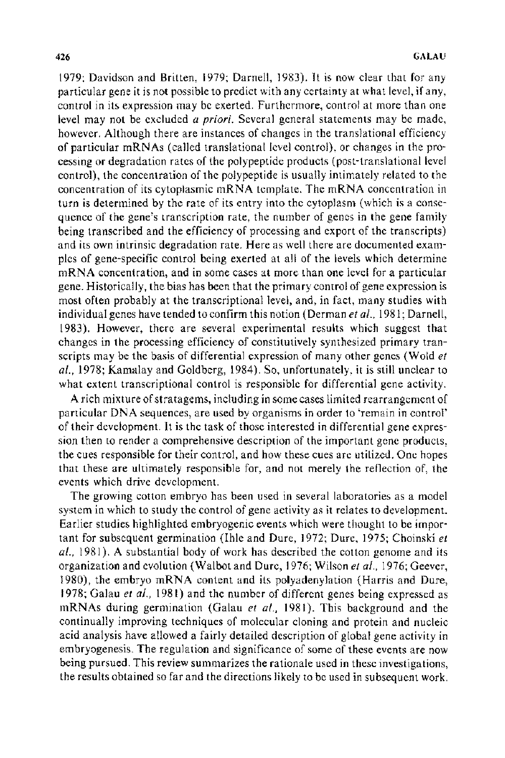1979; Davidson and Britten, 1979; Darnell, 1983). It is now clear that for any particular gene it is not possible to predict with any certainty at what level, if any, control in its expression may be exerted. Furthermore, control at more than one level may not be excluded *a priori.* Several general statements may be made, however. Although there are instances of changes in the translational efficiency of particular mRNAs (called translational level control), or changes in the processing **or** degradation rates of the polypeptide products (post-translational level control), the concentration of the polypeptide is usually intimately related to the concentration of its cytoplasmic mRNA template. The mRNA concentration in turn is determined by the rate of its entry into the cytoplasm (which is a consequence of the gene's transcription rate, the number of genes in the gene family being transcribed and the efficiency of processing and export of the transcripts) and its own intrinsic degradation rate. Here as well there are documented examples of gene-specific control being exerted at all of the levels which determine mRNA concentration, and in some cases at more than one level for a particular gene. Historically, the bias has been that the primary control of gene expression is most often probably at the transcriptional level, and, in fact, many studies with individual genes have tended to confirm this notion (Derman *eta/.,* 1981; Darnell, 1983). However, there are several experimental results which suggest that changes in the processing efficiency of constitutively synthesized primary transcripts may be the basis of differential expression of many other genes (Wold *et a!.,* 1978; Kamalay and Goldberg, 1984). So, unfortunately, it is still unclear to what extent transcriptional control is responsible for differential gene activity.

A rich mixture of stratagems, including in some cases limited rearrangement of particular DNA sequences, are used by organisms in order to 'remain in control' of their development. It is the task of those interested in differential gene expression then to render a comprehensive description of the important gene products, the cues responsible for their control, and how these cues are utilized. One hopes that these are ultimately responsible for, and not merely the reflection of, the events which drive development.

The growing cotton embryo has been used in several laboratories as a model system in which to study the control of gene activity as it relates to development. Earlier studies highlighted embryogenic events which were thought to be important for subsequent germination (lhle and Dure, 1972; Dure, 1975; Choinski *et a!.,* 1981 ). A substantial body of work has described the cotton genome and its organization and evolution (Walbot and Dure, 1976; Wilson *eta!.,* 1976; Geever, 1980), the embryo mRNA content and its polyadenylation (Harris and Dure, 1978; Galau *et a/.,* 1981) and the number of different genes being expressed as mRNAs during germination (Galau *et a!.,* 1981). This background and the continually improving techniques of molecular cloning and protein and nucleic acid analysis have allowed a fairly detailed description of global gene activity in embryogenesis. The regulation and significance of some of these events are now being pursued. This review summarizes the rationale used in these investigations, the results obtained so far and the directions likely to be used in subsequent work.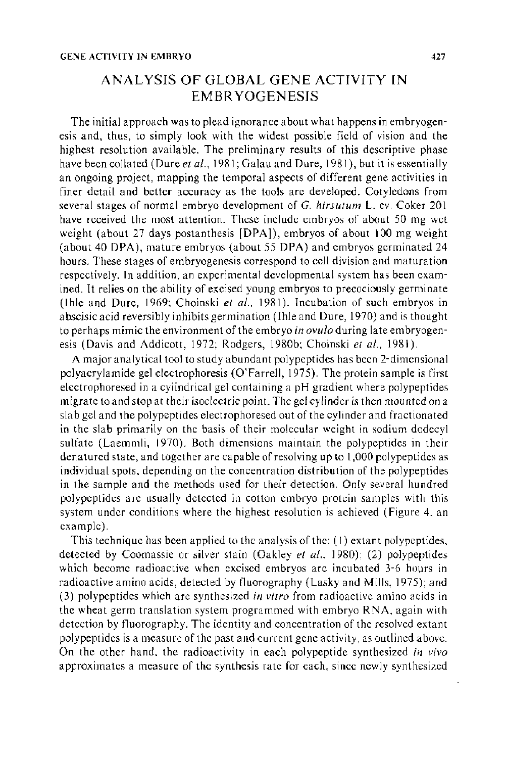# ANALYSIS OF GLOBAL GENE ACTIVITY IN EMBRYOGENESIS

The initial approach was to plead ignorance about what happens in embryogenesis and, thus, to simply look with the widest possible field of vision and the highest resolution available. The preliminary results of this descriptive phase have been collated (Dure *et al.*, 1981; Galau and Dure, 1981), but it is essentially an ongoing project, mapping the temporal aspects of different gene activities in finer detail and better accuracy as the tools are developed. Cotyledons from several stages of normal embryo development of G. *hirsutum* L. cv. Coker 201 have received the most attention. These include embryos of about 50 mg wet weight (about 27 days postanthesis [DPA]), embryos of about 100 mg weight (about 40 DPA), mature embryos (about 55 DPA) and embryos germinated 24 hours. These stages of embryogenesis correspond to cell division and maturation respectively. In addition, an experimental developmental system has been examined. It relies on the ability of excised young embryos to precociously germinate (Ihle and Dure, 1969; Choinski et al., 1981). Incubation of such embryos in abscisic acid reversibly inhibits germination (Ihle and Dure, 1970) and is thought to perhaps mimic the environment of the embryo *in ovulo* during late em bryogenesis (Davis and Addicott, 1972; Rodgers, 1980b; Choinski *et al.,* 1981).

A major analytical tool to study abundant polypeptides has been 2-dimensional polyacrylamide gel electrophoresis (O'Farrell, 1975). The protein sample is first electrophoresed in a cylindrical gel containing a pH gradient where polypeptides migrate to and stop at their isoelectric point. The gel cylinder is then mounted on a slab gel and the polypeptides electrophoresed out of the cylinder and fractionated in the slab primarily on the basis of their molecular weight in sodium dodecyl sulfate (Laemmli, 1970). Both dimensions maintain the polypeptides in their denatured state, and together are capable of resolving up to I ,000 polypeptides as individual spots. depending on the concentration distribution of the polypeptides in the sample and the methods used for their detection. Only several hundred polypeptides are usually detected in cotton embryo protein samples with this system under conditions where the highest resolution is achieved (Figure 4. an example).

This technique has been applied to the analysis of the: (I) extant polypeptides. detected by Coomassie or silver stain (Oakley *et a/.,* 1980); (2) polypeptides which become radioactive when excised embryos are incubated 3-6 hours in radioactive amino acids, detected by fluorography (Lasky and Mills, 1975); and (3) polypeptides which are synthesized *in vitro* from radioactive amino acids in the wheat germ translation system programmed with embryo RNA, again with detection by fluorography. The identity and concentration of the resolved extant polypeptides is a measure of the past and current gene activity, as outlined above. On the other hand. the radioactivity in each polypeptide synthesized *in vivo*  approximates a measure of the synthesis rate for each, since newly synthesized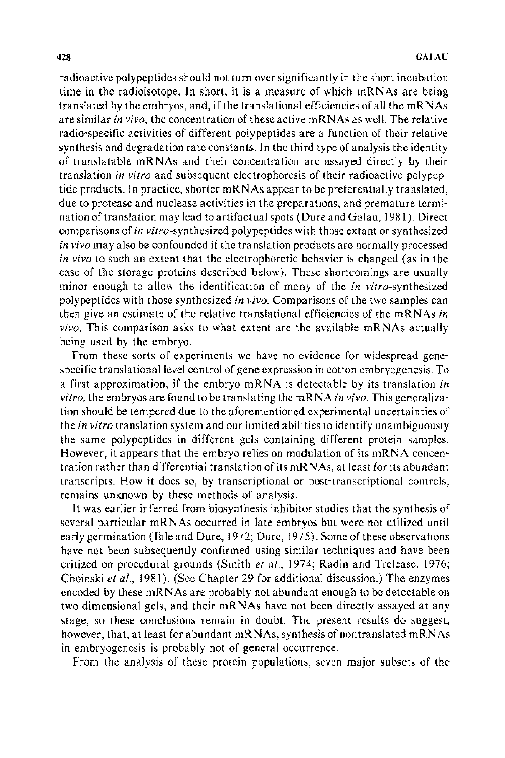radioactive polypeptides should not turn over significantly in the short incubation time in the radioisotope. In short, it is a measure of which mRN As are being translated by the embryos, and, if the translational efficiencies of all the mRN As are similar *in vivo,* the concentration of these active mRN As as well. The relative radio-specific activities of different polypeptides are a function of their relative synthesis and degradation rate constants. In the third type of analysis the identity of translatable mRNAs and their concentration are assayed directly by their translation *in vitro* and subsequent electrophoresis of their radioactive polypeptide products. In practice, shorter mRNAs appear to be preferentially translated, due to protease and nuclease activities in the preparations, and premature termination of translation may lead to artifactual spots (Dure and Galau, 1981 ). Direct comparisons of in vitro-synthesized polypeptides with those extant or synthesized *in vivo* may also be confounded if the translation products are normally processed *in vivo* to such an extent that the electrophoretic behavior is changed (as in the case of the storage proteins described below). These shortcomings are usually minor enough to allow the identification of many of the *in* vitro-synthesized polypeptides with those synthesized in *vivo.* Comparisons of the two samples can then give an estimate of the relative translational efficiencies of the mRNAs *in vivo.* This comparison asks to what extent are the available mRNAs actually being used by the embryo.

From these sorts of experiments we have no evidence for widespread genespecific translational level control of gene expression in cotton embryogenesis. To a first approximation, if the embryo mRNA is detectable by its translation *in vitro.* the embryos are found to be translating the mRNA *in vivo.* This generalization should be tempered due to the aforementioned experimental uncertainties of the *in vitro* translation system and our limited abilities to identify unambiguously the same polypeptides in different gels containing different protein samples. However, it appears that the embryo relies on modulation of its mRNA concentration rather than differential translation of its mRNAs, at least for its abundant transcripts. How it does so, by transcriptional or post-transcriptional controls, remains unknown by these methods of analysis.

It was earlier inferred from biosynthesis inhibitor studies that the synthesis of several particular mRNAs occurred in late embryos but were not utilized until early germination (Ihle and Dure, 1972; Dure, 1975). Some of these observations have not been subsequently confirmed using similar techniques and have been critized on procedural grounds (Smith *et al.,* 1974; Radin and Trelease, 1976; Choinski *eta!.,* 1981). (Sec Chapter 29 for additional discussion.) The enzymes encoded by these mRNAs are probably not abundant enough to be detectable on two dimensional gels, and their mRNAs have not been directly assayed at any stage, so these conclusions remain in doubt. The present results do suggest, however, that, at least for abundant mRNAs, synthesis of nontranslated mRNAs in embryogenesis is probably not of general occurrence.

From the analysis of these protein populations, seven major subsets of the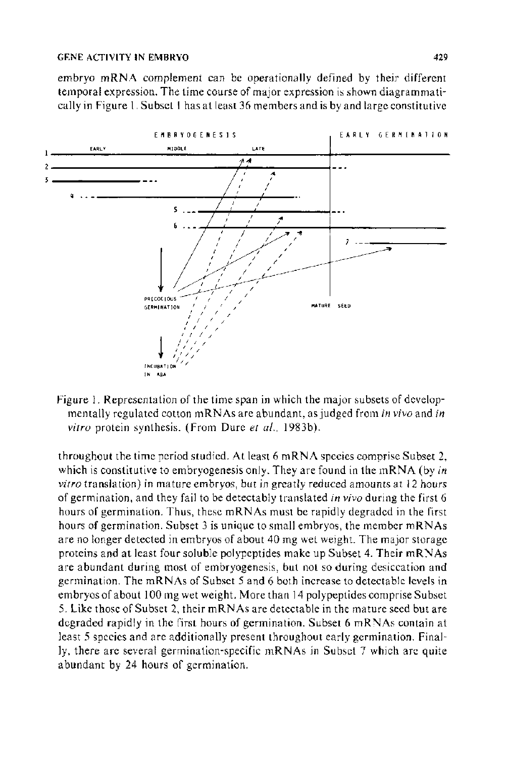embryo mRNA complement can be operationally defined by their different temporal expression. The time course of major expression is shown diagramma tically in Figure 1. Subset I has at least 36 members and is by and large constitutive



Figure 1. Representation of the time span in which the major subsets of developmentally regulated cotton mRNAs are abundant, as judged from *in vivo* and *in vitro* protein synthesis. (From Dure *et al.*, 1983b).

throughout the time period studied. At least 6 mRNA species comprise Subset 2, which is constitutive to embryogenesis only. They are found in the mRNA (by *in vitro* translation) in mature embryos, but in greatly reduced amounts at 12 hours of germination, and they fail to be detectably translated *in vivo* during the first 6 hours of germination. Thus, these mRNAs must be rapidly degraded in the first hours of germination. Subset 3 is unique to small embryos, the member mRNAs are no longer detected in embryos of about 40 mg wet weight. The major storage proteins and at least four soluble polypeptides make up Subset 4. Their mRNAs are abundant during most of embryogenesis, but not so during desiccation and germination. The mRNAs of Subset 5 and 6 both increase to detectable levels in embryos of about 100 mg wet weight. More than 14 polypeptides comprise Subset 5. Like those of Subset 2, their mRNAs are detectable in the mature seed but are degraded rapidly in the first hours of germination. Subset 6 mRNAs contain at least 5 species and are additionally present throughout early germination. Finally, there are several germination-specific mRNAs in Subset 7 which are quite abundant by 24 hours of germination.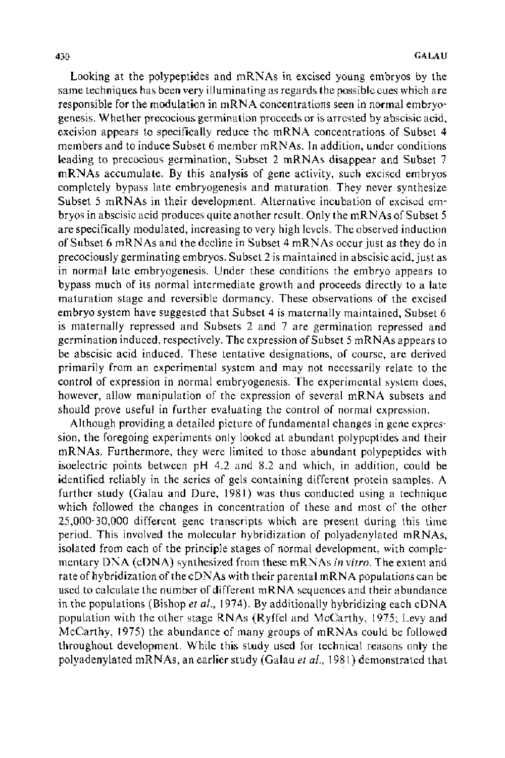Looking at the polypeptides and mRNAs in excised young embryos by the same techniques has been very illuminating as regards the possible cues which are responsible for the modulation in mRNA concentrations seen in normal embryogenesis. Whether precocious germination proceeds or is arrested by abscisic acid, excision appears to specifically reduce the mRNA concentrations of Subset 4 members and to induce Subset 6 member mRNAs. In addition, under conditions leading to precocious germination, Subset 2 mRNAs disappear and Subset 7 mRNAs accumulate. By this analysis of gene activity, such excised embryos completely bypass late embryogenesis and maturation. They never synthesize Subset 5 mRNAs in their development. Alternative incubation of excised embryos in abscisic acid produces quite another result. Only the mRNAs of Subset 5 are specifically modulated, increasing to very high levels. The observed induction of Subset 6 mRNAs and the decline in Subset 4 mRNAs occur just as they do in precociously germinating embryos. Subset 2 is maintained in abscisic acid, just as in normal late embryogenesis. Under these conditions the embryo appears to bypass much of its normal intermediate growth and proceeds directly to a late maturation stage and reversible dormancy. These observations of the excised embryo system have suggested that Subset 4 is maternally maintained, Subset 6 is maternally repressed and Subsets 2 and 7 are germination repressed and germination induced, respectively. The expression of Subset 5 mRNAs appears to be abscisic acid induced. These tentative designations, of course, are derived primarily from an experimental system and may not necessarily relate to the control of expression in normal embryogenesis. The experimental system does, however, allow manipulation of the expression of several mRNA subsets and should prove useful in further evaluating the control of normal expression.

Although providing a detailed picture of fundamental changes in gene expression, the foregoing experiments only looked at abundant polypeptides and their mRNAs. Furthermore, they were limited to those abundant polypeptides with isoelectric points between pH 4.2 and 8.2 and which, in addition, could be identified reliably in the series of gels containing different protein samples. A further study (Galau and Dure, 1981) was thus conducted using a technique which followed the changes in concentration of these and most of the other 25,000-30,000 different gene transcripts which are present during this time period. This involved the molecular hybridization of polyadenylated mRNAs, isolated from each of the principle stages of normal development, with complementary DNA (eDNA) synthesized from these mRNAs in *vitro.* The extent and rate of hybridization of the cDN As with their parental mRNA populations can be used to calculate the number of different mRNA sequences and their abundance in the populations (Bishop *et al.,* 1974). By additionally hybridizing each eDNA population with the other stage RNAs (Ryffel and McCarthy, 1975; Levy and McCarthy, 1975) the abundance of many groups of mRNAs could be followed throughout development. While this study used for technical reasons only the polyadenylated mRNAs, an earlier study (Galau *eta!.,* 1981) demonstrated that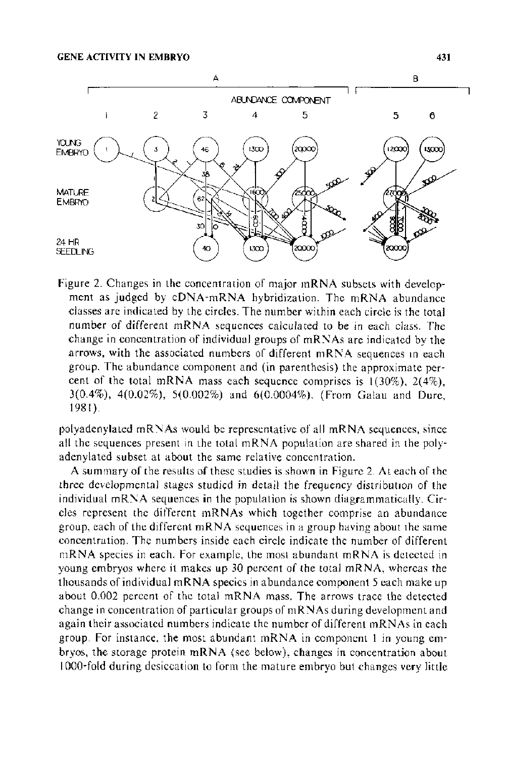

figure 2. Changes in the concentration of major mRNA subsets with development as judged by cDNA-mRNA hybridization. The mRNA abundance classes are indicated by the circles. The number within each circle is the total number of different mRNA sequences calculared to be in each class. The change in concentration of individual groups of mRNAs are indicated by the arrows, with the associated numbers of different mRNA sequences in each group. The abundance component and (in parenthesis) the approximate percent of the total mRNA mass each sequence comprises is 1(30%), 2(4%), 3(0.4%), 4(0.02%), 5(0.002%) and 6(0.0004%). (from Galau and Dure, 1981).

polyadenylated mRNAs would be representative of all mRNA sequences, since all the sequences present in the total mRNA population are shared in the polyadenylated subset at about the same relative concentration.

A summary of the results of these studies is shown in Figure 2. At each of the three developmental stages studied in detail the frequency distribution of the individual mRNA sequences in the population is shown diagrammatically. Circles represent the different mRNAs which together comprise an abundance group, each of the different mRNA sequences in a group having about the same concentration. The numbers inside each circle indicate the number of different mRNA species in each. For example, the most abundant mRNA is detected in young embryos where it makes up 30 percent of the total mRNA, whereas the thousands of individual mRNA species in abundance component 5 each make up about 0.002 percent of the total mRNA mass. The arrows trace the detected change in concentration of particular groups of mRNAs during development and again their associated numbers indicate the number of different mRNAs in each group. For instance, the most abundant mRNA in component l in young embryos, the storage protein mRNA (see below), changes in concentration about I 000-fold during desiccation to form the mature embryo but changes very little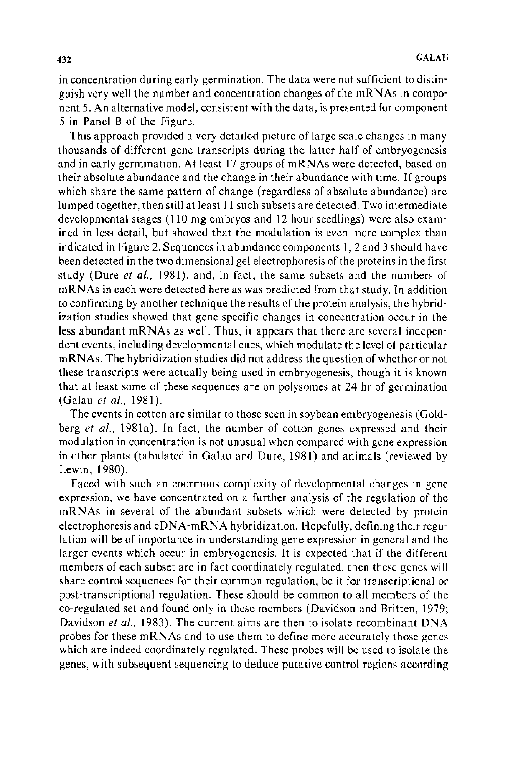in concentration during early germination. The data were not sufficient to distinguish very well the number and concentration changes of the mRNAs in component 5. An alternative model, consistent with the data, is presented for component 5 in Panel B of the Figure.

This approach provided a very detailed picture of large scale changes in many thousands of different gene transcripts during the latter half of embryogenesis and in early germination. At least 17 groups of mRNAs were detected, based on their absolute abundance and the change in their abundance with time. If groups which share the same pattern of change (regardless of absolute abundance) are lumped together, then still at least 11 such subsets are detected. Two intermediate developmental stages (110 mg embryos and 12 hour seedlings) were also examined in less detail, but showed that the modulation is even more complex than indicated in Figure 2. Sequences in abundance components I, 2 and 3 should have been detected in the two dimensional gel electrophoresis of the proteins in the first study (Dure *et al.*, 1981), and, in fact, the same subsets and the numbers of mRNAs in each were detected here as was predicted from that study. In addition to confirming by another technique the results of the protein analysis, the hybridization studies showed that gene specific changes in concentration occur in the less abundant mRNAs as well. Thus, it appears that there are several independent events, including developmental cues, which modulate the level of particular mRNAs. The hybridization studies did not address the question of whether or not these transcripts were actually being used in embryogenesis, though it is known that at least some of these sequences are on polysomes at 24 hr of germination (Galau *eta!.,* 1981).

The events in cotton are similar to those seen in soybean embryogenesis (Goldberg *et a!.,* 1981a). In fact, the number of cotton genes expressed and their modulation in concentration is not unusual when compared with gene expression in other plants (tabulated in Galau and Dure, 1981) and animals (reviewed by Lewin, 1980).

Faced with such an enormous complexity of developmental changes in gene expression, we have concentrated on a further analysis of the regulation of the mRNAs in several of the abundant subsets which were detected by protein electrophoresis and cDNA-mRNA hybridization. Hopefully, defining their regulation will be of importance in understanding gene expression in general and the larger events which occur in embryogenesis. It is expected that if the different members of each subset are in fact coordinately regulated, then these genes will share control sequences for their common regulation, be it for transcriptional or post-transcriptional regulation. These should be common to all members of the co-regulated set and found only in these members (Davidson and Britten, 1979; Davidson *et al.*, 1983). The current aims are then to isolate recombinant DNA probes for these mRNAs and to use them to define more accurately those genes which are indeed coordinately regulated. These probes will be used to isolate the genes, with subsequent sequencing to deduce putative control regions according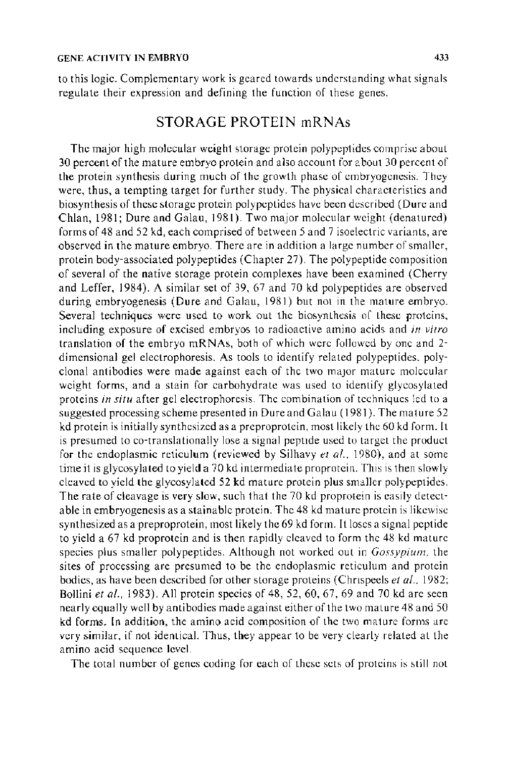to this logic. Complementary work is geared towards understanding what signals regulate their expression and defining the function of these genes.

#### STORAGE PROTEIN mRNAs

The major high molecular weight storage protein polypeptides comprise about 30 percent of the mature embryo protein and also account for a bout 30 percent of the protein synthesis during much of the growth phase of embryogenesis. They were, thus, a tempting target for further study. The physical characteristics and biosynthesis of these storage protein polypeptides have been described (Dure and Chlan, 1981; Dure and Galau, 1981). Two major molecular weight (denatured) forms of 48 and 52 kd, each comprised of between 5 and 7 isoelectric variants, are observed in the mature embryo. There are in addition a large number of smaller, protein body-associated polypeptides (Chapter 27). The polypeptide composition of several of the native storage protein complexes have been examined (Cherry and Leffer, 1984). A similar set of 39, 67 and 70 kd polypeptides are observed during embryogenesis (Dure and Galau, 1981) but not in the mature embryo. Several techniques were used to work out the biosynthesis of these proteins, including exposure of excised embryos to radioactive amino acids and *in vitro*  translation of the embryo mRNAs, both of which were followed by one and 2 dimensional gel electrophoresis. As tools to identify related polypeptides. polyclonal antibodies were made against each of the two maJor mature molecular weight forms, and a stain for carbohydrate was used to identify glycosylated proteins *in situ* after gel electrophoresis. The combination of techniques led to a suggested processing scheme presented in Dure and Galau ( 1981 ). The mature 52 kd protein is initially synthesized as a preproprotein, most likely the 60 kd form. It is presumed to co-translationally lose a signal peptide used to target the product for the endoplasmic reticulum (reviewed by Silhavy *et al.*, 1980), and at some time it is glycosylated to yield a 70 kd intermediate proprotein. This is then slowly cleaved to yield the glycosylated 52 kd mature protein plus smaller polypeptides. The rate of cleavage is very slow, such that the 70 kd proprotein is easily detectable in embryogenesis as a stainable protein. The 48 kd mature protein is likewise synthesized as a preproprotein, most likely the 69 kd form. It loses a signal peptide to yield a 67 kd proprotein and is then rapidly cleaved to form the 48 kd mature species plus smaller polypeptides. Although not worked out in *Gossypium,* the sites of processing are presumed to be the endoplasmic reticulum and protein bodies, as have been described for other storage proteins (Chnspeels *et al.,* 1982; Bollini *et a!.,* 1983). All protein species of 48, 52, 60, 67, 69 and 70 kd arc seen nearly equally well by antibodies made against either of the two mature 48 and 50 kd forms. In addition, the amino acid composition of the two mature forms are very similar, if not identical. Thus, they appear to be very clearly related at the amino acid sequence level.

The total number of genes coding for each of these sets of proteins is still not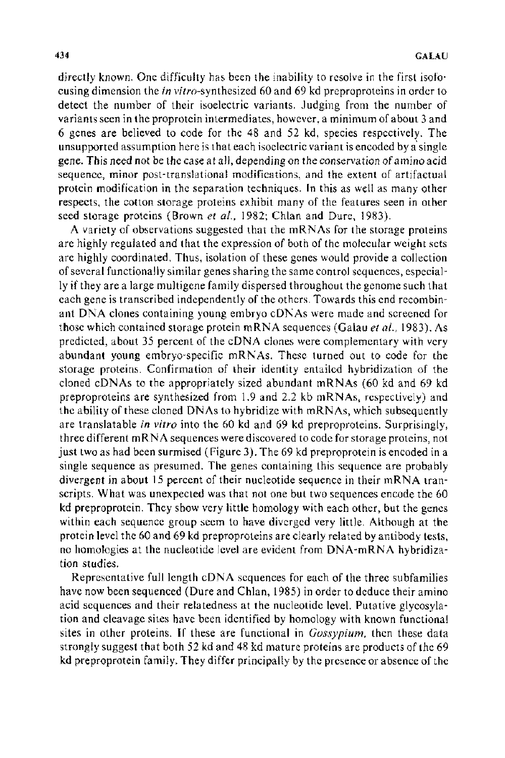directly known. One difficulty has been the inability to resolve in the first isofocusing dimension the in vitro-synthesized 60 and 69 kd preproproteins in order to detect the number of their isoelectric variants. Judging from the number of variants seen in the proprotein intermediates, however, a minimum of about 3 and 6 genes are believed to code for the 48 and 52 kd, species respectively. The unsupported assumption here is that each isoelectric variant is encoded by a single gene. This need not be the case at all, depending on the conservation of amino acid sequence, minor post-translational modifications, and the extent of artifactual protein modification in the separation techniques. In this as well as many other respects, the cotton storage proteins exhibit many of the features seen in other seed storage proteins (Brown *et a/.,* 1982; Chlan and Dure, 1983).

A variety of observations suggested that the mRNAs for the storage proteins are highly regulated and that the expression of both of the molecular weight sets are highly coordinated. Thus, isolation of these genes would provide a collection of several functionally similar genes sharing the same control sequences, especially if they are a large multigene family dispersed throughout the genome such that each gene is transcribed independently of the others. Towards this end recombinant DNA clones containing young embryo cDNAs were made and screened for those which contained storage protein mRNA sequences (Galau *et al.,* 1983). As predicted, about 35 percent of the eDNA clones were complementary with very abundant young embryo-specific mRNAs. These turned out to code for the storage proteins. Confirmation of their identity entailed hybridization of the cloned cDNAs to the appropriately sized abundant mRNAs (60 kd and 69 kd preproproteins are synthesized from 1.9 and 2.2 kb mRNAs, respectively) and the ability of these cloned DNAs to hybridize with mRNAs, which subsequently are translatable *in vitro* into the 60 kd and 69 kd preproproteins. Surprisingly, three different mRNA sequences were discovered to code for storage proteins, not just two as had been surmised (Figure 3). The 69 kd preproprotein is encoded in a single sequence as presumed. The genes containing this sequence are probably divergent in about 15 percent of their nucleotide sequence in their mRNA transcripts. What was unexpected was that not one but two sequences encode the 60 kd preproprotein. They show very little homology with each other, but the genes within each sequence group seem to have diverged very little. Although at the protein level the 60 and 69 kd preproproteins are clearly related by antibody tests, no homologies at the nucleotide level are evident from DNA-mRNA hybridization studies.

Representative full length eDNA sequences for each of the three subfamilies have now been sequenced (Dure and Chlan, 1985) in order to deduce their amino acid sequences and their relatedness at the nucleotide level. Putative glycosylation and cleavage sites have been identified by homology with known functional sites in other proteins. If these are functional in *Gossypium,* then these data strongly suggest that both 52 kd and 48 kd mature proteins are products of the 69 kd preproprotein family. They differ principally by the presence or absence of the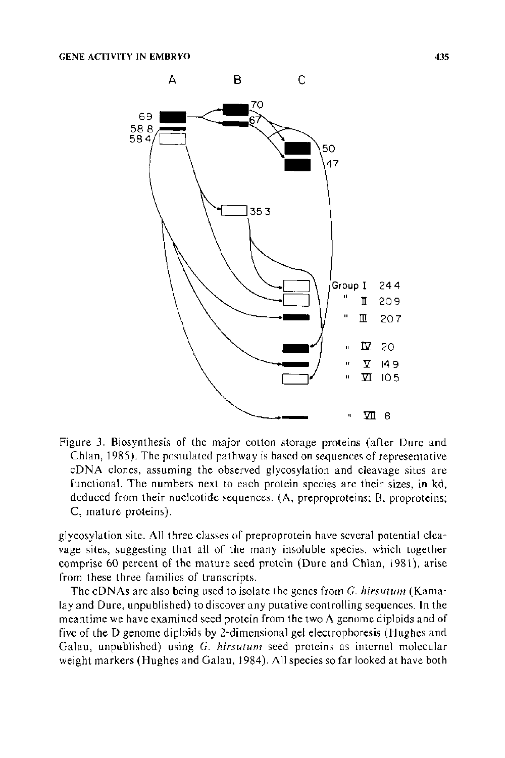

Figure 3. Biosynthesis of the major cotton storage proteins (after Dure and Chlan, 1985). The postulated pathway is based on sequences of representative eDNA clones, assuming the observed glycosylation and cleavage sites are functional. The numbers next to each protein species are their sizes, in kd, deduced from their nucleotide sequences. (A, preproproteins; B, proproteins; C, mature proteins).

glycosylation site. All three classes of preproprotein have several potential cleavage sites, suggesting that all of the many insoluble species, which together comprise 60 percent of the mature seed protein (Dure and Chlan, 1981), arise from these three families of transcripts.

The cDNAs are also being used to isolate the genes from *G. hirsutum* (Kamalay and Dure, unpublished) to discover any putative controlling sequences. In the meantime we have examined seed protein from the two  $\Lambda$  genome diploids and of five of the D genome diploids by 2-dimensional gel electrophoresis (Hughes and Galau, unpublished) using *G. hirsutum* seed proteins as internal molecular weight markers (Hughes and Galau, 1984). All species so far looked at have both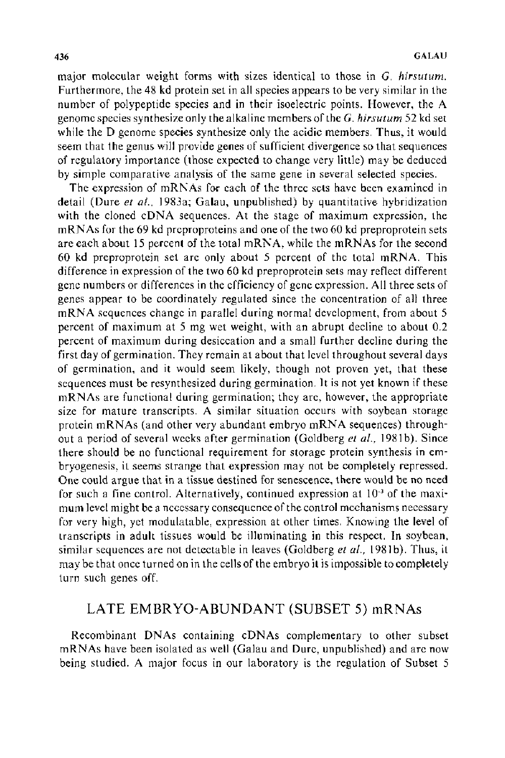major molecular weight forms with sizes identical to those in G. *hirsuturn.*  Furthermore, the 48 kd protein set in all species appears to be very similar in the number of polypeptide species and in their isoelectric points. However, the A genome species synthesize only the alkaline members of the G. *hirsuturn* 52 kd set while the D genome species synthesize only the acidic members. Thus, it would seem that the genus will provide genes of sufficient divergence so that sequences of regulatory importance (those expected to change very little) may be deduced by simple comparative analysis of the same gene in several selected species.

The expression of mRNAs for each of the three sets have been examined in detail (Dure *et al.*, 1983a; Galau, unpublished) by quantitative hybridization with the cloned eDNA sequences. At the stage of maximum expression, the mRN As for the 69 kd preproproteins and one of the two 60 kd preproprotein sets are each about 15 percent of the total mRNA, while the mRNAs for the second 60 kd preproprotein set are only about 5 percent of the total mRNA. This difference in expression of the two 60 kd preproprotein sets may reflect different gene numbers or differences in the efficiency of gene expression. All three sets of genes appear to be coordinately regulated since the concentration of all three mRNA sequences change in parallel during normal development, from about 5 percent of maximum at 5 mg wet weight, with an abrupt decline to about 0.2 percent of maximum during desiccation and a small further decline during the first day of germination. They remain at about that level throughout several days of germination, and it would seem likely, though not proven yet, that these sequences must be resynthesized during germination. It is not yet known if these mRNAs are functional during germination; they are, however, the appropriate size for mature transcripts. A similar situation occurs with soybean storage protein mRNAs (and other very abundant embryo mRNA sequences) throughout a period of several weeks after germination (Goldberg *et al.*, 1981b). Since there should be no functional requirement for storage protein synthesis in embryogenesis, it seems strange that expression may not be completely repressed. One could argue that in a tissue destined for senescence, there would be no need for such a fine control. Alternatively, continued expression at 10·3 of the maximum level might be a necessary consequence of the control mechanisms necessary for very high, yet modulatable, expression at other times. Knowing the level of transcripts in adult tissues would be illuminating in this respect. In soybean, similar sequences are not detectable in leaves (Goldberg et al., 1981b). Thus, it may be that once turned on in the cells of the embryo it is impossible to completely turn such genes off.

## LATE EMBRYO-ABUNDANT (SUBSET 5) mRNAs

Recombinant DNAs containing cDNAs complementary to other subset mRNAs have been isolated as well (Galau and Dure, unpublished) and are now being studied. A major focus in our laboratory is the regulation of Subset 5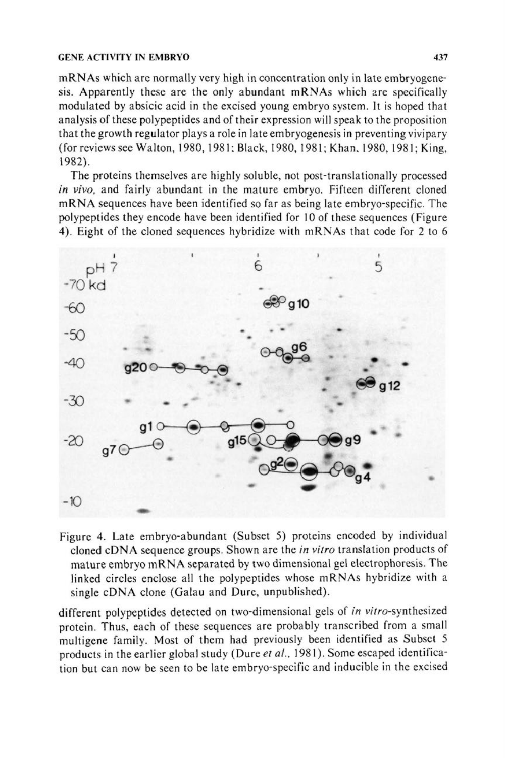#### GENE ACfiVITY IN EMBRYO 437

mRNAs which are normally very high in concentration only in late embryogenesis. Apparently these are the only abundant mRNAs which are specifically modulated by absicic acid in the excised young embryo system. It is hoped that analysis of these polypeptides and of their expression will speak to the proposition that the growth regula tor plays a role in late embryogenesis in preventing vivipary (for reviews see Walton, 1980, 1981: Black, 1980, 1981; Khan. 1980, 1981; King, 1982).

The proteins themselves are highly soluble, not post-translationally processed *in vivo,* and fairly abundant in the mature embryo. Fifteen different cloned mRNA sequences have been identified so far as being late embryo-specific. The polypeptides they encode have been identified for 10 of these sequences (Figure 4). Eight of the cloned sequences hybridize with mRNAs that code for 2 to 6



Figure 4. Late embryo-abundant (Subset 5) proteins encoded by individual cloned eDNA sequence groups. Shown are the *in vitro* translation products of mature embryo mRNA separated by two dimensional gel electrophoresis. The linked circles enclose all the polypeptides whose mRNAs hybridize with a single eDNA clone (Galau and Dure, unpublished).

different polypeptides detected on two-dimensional gels of *in* vitro-synthesized protein. Thus, each of these sequences are probably transcribed from a small multigene family. Most of them had previously been identified as Subset 5 products in the earlier global study (Dure et al., 1981). Some escaped identification but can now be seen to be late embryo-specific and inducible in the excised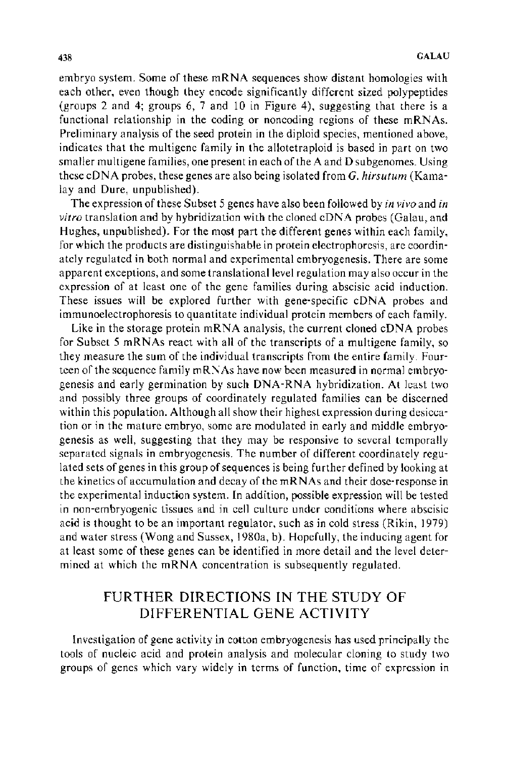embryo system. Some of these mRNA sequences show distant homologies with each other, even though they encode significantly different sized polypeptides (groups 2 and 4; groups 6, 7 and 10 in Figure 4), suggesting that there is a functional relationship in the coding or noncoding regions of these mRNAs. Preliminary analysis of the seed protein in the diploid species, mentioned above, indicates that the multigene family in the allotetraploid is based in part on two smaller multigene families, one present in each of the A and D subgenomes. Using these eDNA probes, these genes are also being isolated from *G. hirsutum* (Kamalay and Dure, unpublished).

The expression of these Subset 5 genes have also been followed by *in vivo* and *in vitro* translation and by hybridization with the cloned eDNA probes (Galau, and Hughes, unpublished). For the most part the different genes within each family, for which the products are distinguishable in protein electrophoresis, are coordinately regulated in both normal and experimental embryogenesis. There are some apparent exceptions, and some translational level regulation may also occur in the expression of at least one of the gene families during abscisic acid induction. These issues will be explored further with gene-specific eDNA probes and immunoelectrophoresis to quantitate individual protein members of each family.

Like in the storage protein mRNA analysis, the current cloned eDNA probes for Subset 5 mRNAs react with all of the transcripts of a multigene family, so they measure the sum of the individual transcripts from the entire family. Fourteen of the sequence family mRNAs have now been measured in normal embryogenesis and early germination by such DNA-RNA hybridization. At least two and possibly three groups of coordinately regulated families can be discerned within this population. Although all show their highest expression during desiccation or in the mature embryo, some are modulated in early and middle embryogenesis as well, suggesting that they may be responsive to several temporally separated signals in embryogenesis. The number of different coordinately regulated sets of genes in this group of sequences is being further defined by looking at the kinetics of accumulation and decay of the mRNAs and their dose-response in the experimental induction system. In addition, possible expression will be tested in non-embryogenic tissues and in cell culture under conditions where abscisic acid is thought to be an important regulator, such as in cold stress (Rikin, 1979) and water stress (Wong and Sussex, 1980a, b). Hopefully, the inducing agent for at least some of these genes can be identified in more detail and the level determined at which the mRNA concentration is subsequently regulated.

# FURTHER DIRECTIONS IN THE STUDY OF DIFFERENTIAL GENE ACTIVITY

Investigation of gene activity in cotton embryogenesis has used principally the tools of nucleic acid and protein analysis and molecular cloning to study two groups of genes which vary widely in terms of function, time of expression in